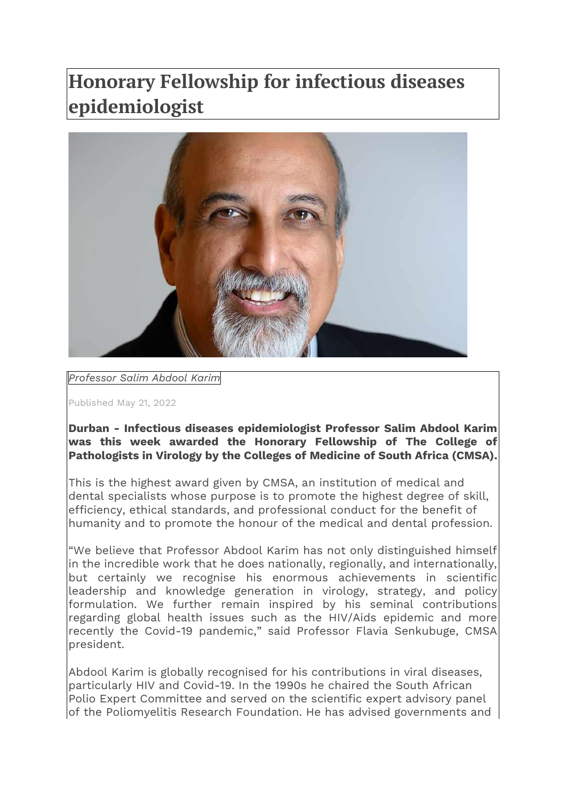## **Honorary Fellowship for infectious diseases epidemiologist**



## *Professor Salim Abdool Karim*

Published May 21, 2022

**Durban - Infectious diseases epidemiologist Professor Salim Abdool Karim was this week awarded the Honorary Fellowship of The College of Pathologists in Virology by the Colleges of Medicine of South Africa (CMSA).**

This is the highest award given by CMSA, an institution of medical and dental specialists whose purpose is to promote the highest degree of skill, efficiency, ethical standards, and professional conduct for the benefit of humanity and to promote the honour of the medical and dental profession.

"We believe that Professor Abdool Karim has not only distinguished himself in the incredible work that he does nationally, regionally, and internationally, but certainly we recognise his enormous achievements in scientific leadership and knowledge generation in virology, strategy, and policy formulation. We further remain inspired by his seminal contributions regarding global health issues such as the HIV/Aids epidemic and more recently the Covid-19 pandemic," said Professor Flavia Senkubuge, CMSA president.

Abdool Karim is globally recognised for his contributions in viral diseases, particularly HIV and Covid-19. In the 1990s he chaired the South African Polio Expert Committee and served on the scientific expert advisory panel of the Poliomyelitis Research Foundation. He has advised governments and